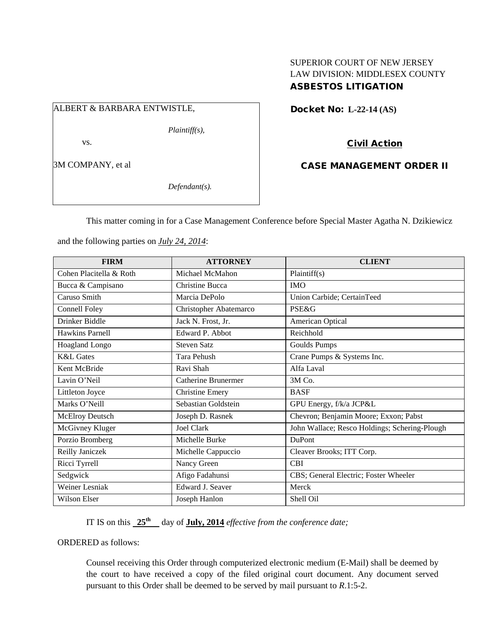## SUPERIOR COURT OF NEW JERSEY LAW DIVISION: MIDDLESEX COUNTY ASBESTOS LITIGATION

# ALBERT & BARBARA ENTWISTLE,

*Plaintiff(s),*

vs.

3M COMPANY, et al

*Defendant(s).*

Docket No: **L-22-14 (AS)** 

Civil Action

CASE MANAGEMENT ORDER II

This matter coming in for a Case Management Conference before Special Master Agatha N. Dzikiewicz

and the following parties on *July 24, 2014*:

| <b>FIRM</b>             | <b>ATTORNEY</b>        | <b>CLIENT</b>                                 |
|-------------------------|------------------------|-----------------------------------------------|
| Cohen Placitella & Roth | Michael McMahon        | Plaintiff(s)                                  |
| Bucca & Campisano       | <b>Christine Bucca</b> | <b>IMO</b>                                    |
| Caruso Smith            | Marcia DePolo          | Union Carbide; CertainTeed                    |
| Connell Foley           | Christopher Abatemarco | <b>PSE&amp;G</b>                              |
| Drinker Biddle          | Jack N. Frost, Jr.     | American Optical                              |
| Hawkins Parnell         | Edward P. Abbot        | Reichhold                                     |
| Hoagland Longo          | <b>Steven Satz</b>     | Goulds Pumps                                  |
| <b>K&amp;L</b> Gates    | <b>Tara Pehush</b>     | Crane Pumps & Systems Inc.                    |
| Kent McBride            | Ravi Shah              | Alfa Laval                                    |
| Lavin O'Neil            | Catherine Brunermer    | 3M Co.                                        |
| Littleton Joyce         | <b>Christine Emery</b> | <b>BASF</b>                                   |
| Marks O'Neill           | Sebastian Goldstein    | GPU Energy, f/k/a JCP&L                       |
| <b>McElroy Deutsch</b>  | Joseph D. Rasnek       | Chevron; Benjamin Moore; Exxon; Pabst         |
| McGivney Kluger         | Joel Clark             | John Wallace; Resco Holdings; Schering-Plough |
| Porzio Bromberg         | Michelle Burke         | <b>DuPont</b>                                 |
| Reilly Janiczek         | Michelle Cappuccio     | Cleaver Brooks; ITT Corp.                     |
| Ricci Tyrrell           | Nancy Green            | <b>CBI</b>                                    |
| Sedgwick                | Afigo Fadahunsi        | CBS; General Electric; Foster Wheeler         |
| Weiner Lesniak          | Edward J. Seaver       | Merck                                         |
| Wilson Elser            | Joseph Hanlon          | Shell Oil                                     |

IT IS on this **25<sup>th</sup>** day of **July, 2014** *effective from the conference date;* 

ORDERED as follows:

Counsel receiving this Order through computerized electronic medium (E-Mail) shall be deemed by the court to have received a copy of the filed original court document. Any document served pursuant to this Order shall be deemed to be served by mail pursuant to *R*.1:5-2.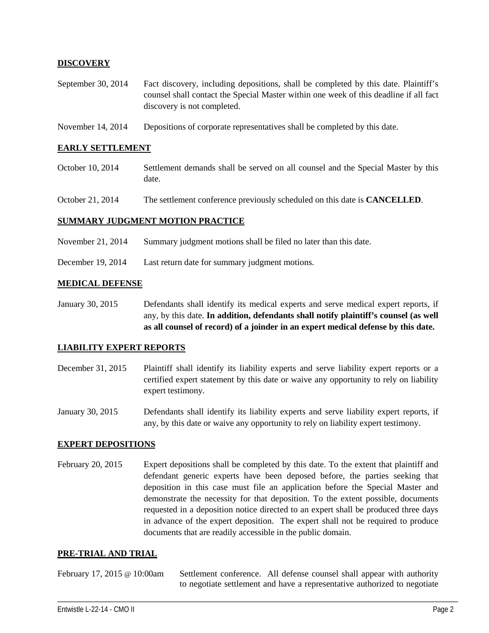## **DISCOVERY**

- September 30, 2014 Fact discovery, including depositions, shall be completed by this date. Plaintiff's counsel shall contact the Special Master within one week of this deadline if all fact discovery is not completed.
- November 14, 2014 Depositions of corporate representatives shall be completed by this date.

### **EARLY SETTLEMENT**

- October 10, 2014 Settlement demands shall be served on all counsel and the Special Master by this date.
- October 21, 2014 The settlement conference previously scheduled on this date is **CANCELLED**.

### **SUMMARY JUDGMENT MOTION PRACTICE**

- November 21, 2014 Summary judgment motions shall be filed no later than this date.
- December 19, 2014 Last return date for summary judgment motions.

#### **MEDICAL DEFENSE**

January 30, 2015 Defendants shall identify its medical experts and serve medical expert reports, if any, by this date. **In addition, defendants shall notify plaintiff's counsel (as well as all counsel of record) of a joinder in an expert medical defense by this date.**

#### **LIABILITY EXPERT REPORTS**

- December 31, 2015 Plaintiff shall identify its liability experts and serve liability expert reports or a certified expert statement by this date or waive any opportunity to rely on liability expert testimony.
- January 30, 2015 Defendants shall identify its liability experts and serve liability expert reports, if any, by this date or waive any opportunity to rely on liability expert testimony.

#### **EXPERT DEPOSITIONS**

February 20, 2015 Expert depositions shall be completed by this date. To the extent that plaintiff and defendant generic experts have been deposed before, the parties seeking that deposition in this case must file an application before the Special Master and demonstrate the necessity for that deposition. To the extent possible, documents requested in a deposition notice directed to an expert shall be produced three days in advance of the expert deposition. The expert shall not be required to produce documents that are readily accessible in the public domain.

#### **PRE-TRIAL AND TRIAL**

February 17, 2015 @ 10:00am Settlement conference. All defense counsel shall appear with authority to negotiate settlement and have a representative authorized to negotiate

\_\_\_\_\_\_\_\_\_\_\_\_\_\_\_\_\_\_\_\_\_\_\_\_\_\_\_\_\_\_\_\_\_\_\_\_\_\_\_\_\_\_\_\_\_\_\_\_\_\_\_\_\_\_\_\_\_\_\_\_\_\_\_\_\_\_\_\_\_\_\_\_\_\_\_\_\_\_\_\_\_\_\_\_\_\_\_\_\_\_\_\_\_\_\_\_\_\_\_\_\_\_\_\_\_\_\_\_\_\_